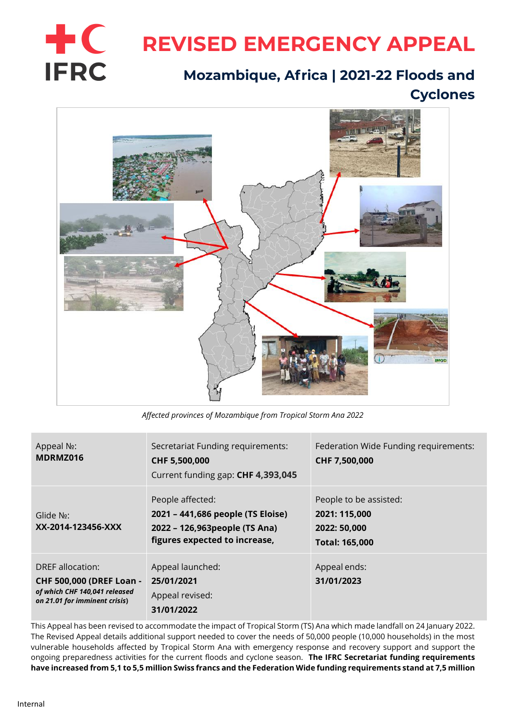

# **REVISED EMERGENCY APPEAL**

# **Mozambique, Africa | 2021-22 Floods and Cyclones**



*Affected provinces of Mozambique from Tropical Storm Ana 2022*

| Appeal N <sub>2</sub> :<br>MDRMZ016                                                                                   | Secretariat Funding requirements:<br>CHF 5,500,000<br>Current funding gap: CHF 4,393,045                                 | Federation Wide Funding requirements:<br>CHF 7,500,000                           |
|-----------------------------------------------------------------------------------------------------------------------|--------------------------------------------------------------------------------------------------------------------------|----------------------------------------------------------------------------------|
| Glide $N_2$ :<br>XX-2014-123456-XXX                                                                                   | People affected:<br>2021 - 441,686 people (TS Eloise)<br>2022 - 126,963 people (TS Ana)<br>figures expected to increase, | People to be assisted:<br>2021: 115,000<br>2022: 50,000<br><b>Total: 165,000</b> |
| DREF allocation:<br><b>CHF 500,000 (DREF Loan -</b><br>of which CHF 140,041 released<br>on 21.01 for imminent crisis) | Appeal launched:<br>25/01/2021<br>Appeal revised:<br>31/01/2022                                                          | Appeal ends:<br>31/01/2023                                                       |

This Appeal has been revised to accommodate the impact of Tropical Storm (TS) Ana which made landfall on 24 January 2022. The Revised Appeal details additional support needed to cover the needs of 50,000 people (10,000 households) in the most vulnerable households affected by Tropical Storm Ana with emergency response and recovery support and support the ongoing preparedness activities for the current floods and cyclone season. **The IFRC Secretariat funding requirements have increased from 5,1 to 5,5 million Swiss francs and the Federation Wide funding requirements stand at 7,5 million**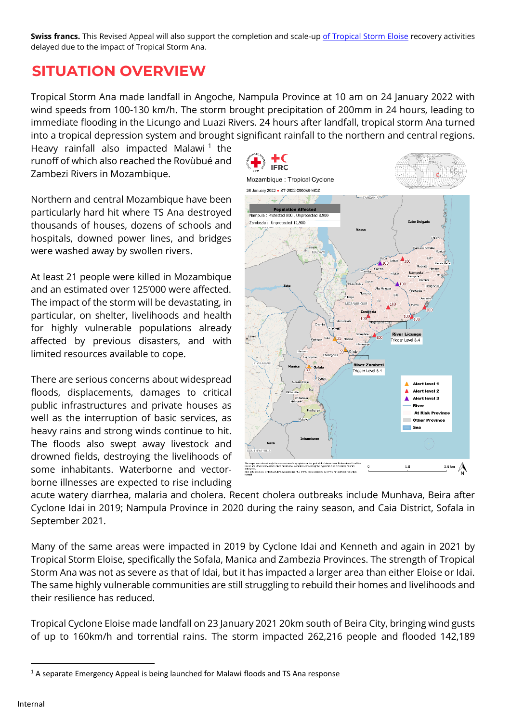**Swiss francs.** This Revised Appeal will also support the completion and scale-up [of Tropical Storm Eloise](https://reliefweb.int/report/mozambique/mozambique-tropical-cyclone-eloise-operations-update-n-2-mdrmz016) recovery activities delayed due to the impact of Tropical Storm Ana.

# **SITUATION OVERVIEW**

Tropical Storm Ana made landfall in Angoche, Nampula Province at 10 am on 24 January 2022 with wind speeds from 100-130 km/h. The storm brought precipitation of 200mm in 24 hours, leading to immediate flooding in the Licungo and Luazi Rivers. 24 hours after landfall, tropical storm Ana turned into a tropical depression system and brought significant rainfall to the northern and central regions.

Heavy rainfall also impacted Malawi<sup>1</sup> the runoff of which also reached the Rovùbué and Zambezi Rivers in Mozambique.

Northern and central Mozambique have been particularly hard hit where TS Ana destroyed thousands of houses, dozens of schools and hospitals, downed power lines, and bridges were washed away by swollen rivers.

At least 21 people were killed in Mozambique and an estimated over 125'000 were affected. The impact of the storm will be devastating, in particular, on shelter, livelihoods and health for highly vulnerable populations already affected by previous disasters, and with limited resources available to cope.

There are serious concerns about widespread floods, displacements, damages to critical public infrastructures and private houses as well as the interruption of basic services, as heavy rains and strong winds continue to hit. The floods also swept away livestock and drowned fields, destroying the livelihoods of some inhabitants. Waterborne and vectorborne illnesses are expected to rise including



acute watery diarrhea, malaria and cholera. Recent cholera outbreaks include Munhava, Beira after Cyclone Idai in 2019; Nampula Province in 2020 during the rainy season, and Caia District, Sofala in September 2021.

Many of the same areas were impacted in 2019 by Cyclone Idai and Kenneth and again in 2021 by Tropical Storm Eloise, specifically the Sofala, Manica and Zambezia Provinces. The strength of Tropical Storm Ana was not as severe as that of Idai, but it has impacted a larger area than either Eloise or Idai. The same highly vulnerable communities are still struggling to rebuild their homes and livelihoods and their resilience has reduced.

Tropical Cyclone Eloise made landfall on 23 January 2021 20km south of Beira City, bringing wind gusts of up to 160km/h and torrential rains. The storm impacted 262,216 people and flooded 142,189

 $1/2$  A separate Emergency Appeal is being launched for Malawi floods and TS Ana response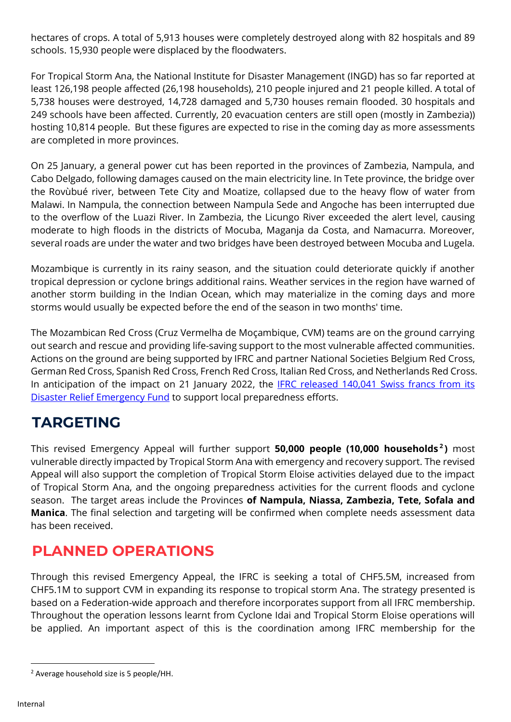hectares of crops. A total of 5,913 houses were completely destroyed along with 82 hospitals and 89 schools. 15,930 people were displaced by the floodwaters.

For Tropical Storm Ana, the National Institute for Disaster Management (INGD) has so far reported at least 126,198 people affected (26,198 households), 210 people injured and 21 people killed. A total of 5,738 houses were destroyed, 14,728 damaged and 5,730 houses remain flooded. 30 hospitals and 249 schools have been affected. Currently, 20 evacuation centers are still open (mostly in Zambezia)) hosting 10,814 people. But these figures are expected to rise in the coming day as more assessments are completed in more provinces.

On 25 January, a general power cut has been reported in the provinces of Zambezia, Nampula, and Cabo Delgado, following damages caused on the main electricity line. In Tete province, the bridge over the Rovùbué river, between Tete City and Moatize, collapsed due to the heavy flow of water from Malawi. In Nampula, the connection between Nampula Sede and Angoche has been interrupted due to the overflow of the Luazi River. In Zambezia, the Licungo River exceeded the alert level, causing moderate to high floods in the districts of Mocuba, Maganja da Costa, and Namacurra. Moreover, several roads are under the water and two bridges have been destroyed between Mocuba and Lugela.

Mozambique is currently in its rainy season, and the situation could deteriorate quickly if another tropical depression or cyclone brings additional rains. Weather services in the region have warned of another storm building in the Indian Ocean, which may materialize in the coming days and more storms would usually be expected before the end of the season in two months' time.

The Mozambican Red Cross (Cruz Vermelha de Moçambique, CVM) teams are on the ground carrying out search and rescue and providing life-saving support to the most vulnerable affected communities. Actions on the ground are being supported by IFRC and partner National Societies Belgium Red Cross, German Red Cross, Spanish Red Cross, French Red Cross, Italian Red Cross, and Netherlands Red Cross. In anticipation of the impact on 21 January 2022, the **IFRC released 140,041 Swiss francs from its** [Disaster Relief Emergency Fund](https://adore.ifrc.org/Download.aspx?FileId=489182) to support local preparedness efforts.

# **TARGETING**

This revised Emergency Appeal will further support **50,000 people (10,000 households <sup>2</sup> )** most vulnerable directly impacted by Tropical Storm Ana with emergency and recovery support. The revised Appeal will also support the completion of Tropical Storm Eloise activities delayed due to the impact of Tropical Storm Ana, and the ongoing preparedness activities for the current floods and cyclone season. The target areas include the Provinces **of Nampula, Niassa, Zambezia, Tete, Sofala and Manica**. The final selection and targeting will be confirmed when complete needs assessment data has been received.

# **PLANNED OPERATIONS**

Through this revised Emergency Appeal, the IFRC is seeking a total of CHF5.5M, increased from CHF5.1M to support CVM in expanding its response to tropical storm Ana. The strategy presented is based on a Federation-wide approach and therefore incorporates support from all IFRC membership. Throughout the operation lessons learnt from Cyclone Idai and Tropical Storm Eloise operations will be applied. An important aspect of this is the coordination among IFRC membership for the

<sup>2</sup> Average household size is 5 people/HH.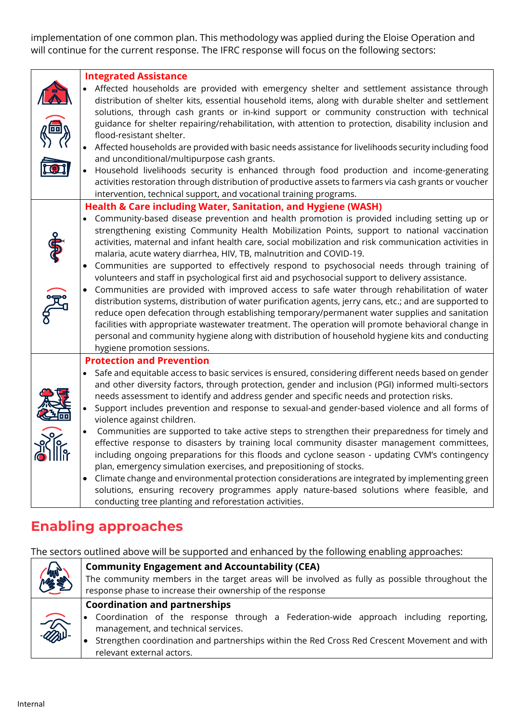implementation of one common plan. This methodology was applied during the Eloise Operation and will continue for the current response. The IFRC response will focus on the following sectors:

| 匝 | <b>Integrated Assistance</b><br>Affected households are provided with emergency shelter and settlement assistance through<br>distribution of shelter kits, essential household items, along with durable shelter and settlement<br>solutions, through cash grants or in-kind support or community construction with technical<br>guidance for shelter repairing/rehabilitation, with attention to protection, disability inclusion and<br>flood-resistant shelter.<br>Affected households are provided with basic needs assistance for livelihoods security including food<br>and unconditional/multipurpose cash grants.<br>Household livelihoods security is enhanced through food production and income-generating<br>activities restoration through distribution of productive assets to farmers via cash grants or voucher<br>intervention, technical support, and vocational training programs.                                                                                                                                                                                                                                                                                                         |
|---|---------------------------------------------------------------------------------------------------------------------------------------------------------------------------------------------------------------------------------------------------------------------------------------------------------------------------------------------------------------------------------------------------------------------------------------------------------------------------------------------------------------------------------------------------------------------------------------------------------------------------------------------------------------------------------------------------------------------------------------------------------------------------------------------------------------------------------------------------------------------------------------------------------------------------------------------------------------------------------------------------------------------------------------------------------------------------------------------------------------------------------------------------------------------------------------------------------------|
|   | Health & Care including Water, Sanitation, and Hygiene (WASH)<br>Community-based disease prevention and health promotion is provided including setting up or<br>$\bullet$<br>strengthening existing Community Health Mobilization Points, support to national vaccination<br>activities, maternal and infant health care, social mobilization and risk communication activities in<br>malaria, acute watery diarrhea, HIV, TB, malnutrition and COVID-19.<br>Communities are supported to effectively respond to psychosocial needs through training of<br>volunteers and staff in psychological first aid and psychosocial support to delivery assistance.<br>Communities are provided with improved access to safe water through rehabilitation of water<br>distribution systems, distribution of water purification agents, jerry cans, etc.; and are supported to<br>reduce open defecation through establishing temporary/permanent water supplies and sanitation<br>facilities with appropriate wastewater treatment. The operation will promote behavioral change in<br>personal and community hygiene along with distribution of household hygiene kits and conducting<br>hygiene promotion sessions. |
|   | <b>Protection and Prevention</b><br>Safe and equitable access to basic services is ensured, considering different needs based on gender<br>and other diversity factors, through protection, gender and inclusion (PGI) informed multi-sectors<br>needs assessment to identify and address gender and specific needs and protection risks.<br>Support includes prevention and response to sexual-and gender-based violence and all forms of<br>violence against children.<br>Communities are supported to take active steps to strengthen their preparedness for timely and<br>effective response to disasters by training local community disaster management committees,<br>including ongoing preparations for this floods and cyclone season - updating CVM's contingency<br>plan, emergency simulation exercises, and prepositioning of stocks.<br>Climate change and environmental protection considerations are integrated by implementing green<br>solutions, ensuring recovery programmes apply nature-based solutions where feasible, and<br>conducting tree planting and reforestation activities.                                                                                                   |

### **Enabling approaches**

The sectors outlined above will be supported and enhanced by the following enabling approaches:

|                        | <b>Community Engagement and Accountability (CEA)</b>                                           |  |  |
|------------------------|------------------------------------------------------------------------------------------------|--|--|
| <b>CONTROL</b>         | The community members in the target areas will be involved as fully as possible throughout the |  |  |
|                        | response phase to increase their ownership of the response                                     |  |  |
|                        | <b>Coordination and partnerships</b>                                                           |  |  |
| $\widehat{\mathbb{Z}}$ | $\bullet$ Coordination of the response through a Federation-wide approach including reporting, |  |  |
|                        | management, and technical services.                                                            |  |  |
|                        | Strengthen coordination and partnerships within the Red Cross Red Crescent Movement and with   |  |  |
|                        | relevant external actors.                                                                      |  |  |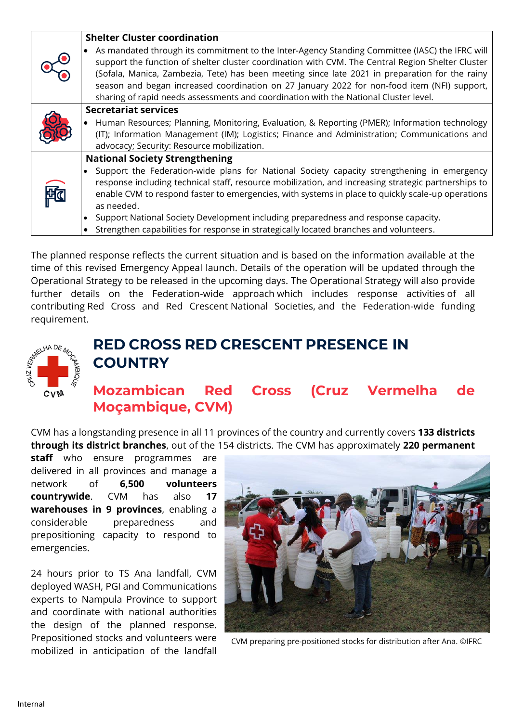|                                       | <b>Shelter Cluster coordination</b>                                                                                                                                                           |
|---------------------------------------|-----------------------------------------------------------------------------------------------------------------------------------------------------------------------------------------------|
|                                       | As mandated through its commitment to the Inter-Agency Standing Committee (IASC) the IFRC will                                                                                                |
|                                       | support the function of shelter cluster coordination with CVM. The Central Region Shelter Cluster                                                                                             |
|                                       | (Sofala, Manica, Zambezia, Tete) has been meeting since late 2021 in preparation for the rainy<br>season and began increased coordination on 27 January 2022 for non-food item (NFI) support, |
|                                       | sharing of rapid needs assessments and coordination with the National Cluster level.                                                                                                          |
| <b>Secretariat services</b>           |                                                                                                                                                                                               |
|                                       | Human Resources; Planning, Monitoring, Evaluation, & Reporting (PMER); Information technology<br>$\bullet$                                                                                    |
|                                       | (IT); Information Management (IM); Logistics; Finance and Administration; Communications and                                                                                                  |
|                                       | advocacy; Security: Resource mobilization.                                                                                                                                                    |
| <b>National Society Strengthening</b> |                                                                                                                                                                                               |
|                                       | Support the Federation-wide plans for National Society capacity strengthening in emergency                                                                                                    |
|                                       | response including technical staff, resource mobilization, and increasing strategic partnerships to                                                                                           |
|                                       | enable CVM to respond faster to emergencies, with systems in place to quickly scale-up operations                                                                                             |
|                                       | as needed.                                                                                                                                                                                    |
|                                       | Support National Society Development including preparedness and response capacity.                                                                                                            |
|                                       | Strengthen capabilities for response in strategically located branches and volunteers.                                                                                                        |

The planned response reflects the current situation and is based on the information available at the time of this revised Emergency Appeal launch. Details of the operation will be updated through the Operational Strategy to be released in the upcoming days. The Operational Strategy will also provide further details on the Federation-wide approach which includes response activities of all contributing Red Cross and Red Crescent National Societies, and the Federation-wide funding



## **RED CROSS RED CRESCENT PRESENCE IN COUNTRY**

### **Mozambican Red Cross (Cruz Vermelha de Moçambique, CVM)**

CVM has a longstanding presence in all 11 provinces of the country and currently covers **133 districts through its district branches**, out of the 154 districts. The CVM has approximately **220 permanent** 

**staff** who ensure programmes are delivered in all provinces and manage a network of **6,500 volunteers countrywide**. CVM has also **17 warehouses in 9 provinces**, enabling a considerable preparedness and prepositioning capacity to respond to emergencies.

24 hours prior to TS Ana landfall, CVM deployed WASH, PGI and Communications experts to Nampula Province to support and coordinate with national authorities the design of the planned response. Prepositioned stocks and volunteers were mobilized in anticipation of the landfall



CVM preparing pre-positioned stocks for distribution after Ana. ©IFRC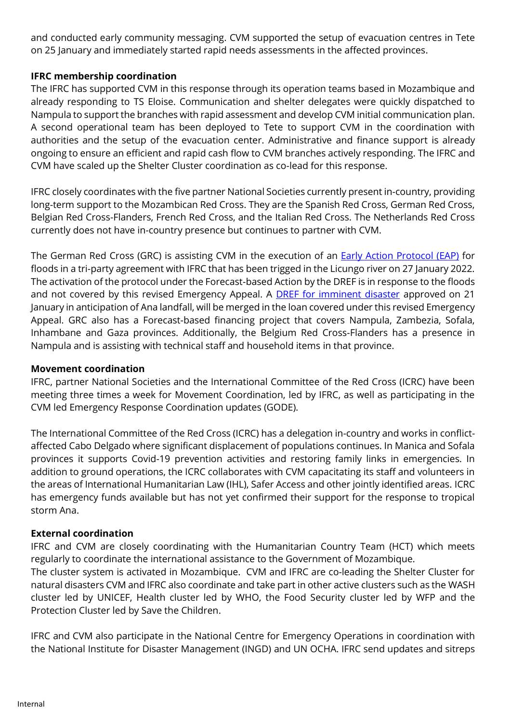and conducted early community messaging. CVM supported the setup of evacuation centres in Tete on 25 January and immediately started rapid needs assessments in the affected provinces.

### **IFRC membership coordination**

The IFRC has supported CVM in this response through its operation teams based in Mozambique and already responding to TS Eloise. Communication and shelter delegates were quickly dispatched to Nampula to support the branches with rapid assessment and develop CVM initial communication plan. A second operational team has been deployed to Tete to support CVM in the coordination with authorities and the setup of the evacuation center. Administrative and finance support is already ongoing to ensure an efficient and rapid cash flow to CVM branches actively responding. The IFRC and CVM have scaled up the Shelter Cluster coordination as co-lead for this response.

IFRC closely coordinates with the five partner National Societies currently present in-country, providing long-term support to the Mozambican Red Cross. They are the Spanish Red Cross, German Red Cross, Belgian Red Cross-Flanders, French Red Cross, and the Italian Red Cross. The Netherlands Red Cross currently does not have in-country presence but continues to partner with CVM.

The German Red Cross (GRC) is assisting CVM in the execution of an [Early Action Protocol \(EAP\)](https://adore.ifrc.org/Download.aspx?FileId=490742) for floods in a tri-party agreement with IFRC that has been trigged in the Licungo river on 27 January 2022. The activation of the protocol under the Forecast-based Action by the DREF is in response to the floods and not covered by this revised Emergency Appeal. A **DREF for imminent disaster** approved on 21 January in anticipation of Ana landfall, will be merged in the loan covered under this revised Emergency Appeal. GRC also has a Forecast-based financing project that covers Nampula, Zambezia, Sofala, Inhambane and Gaza provinces. Additionally, the Belgium Red Cross-Flanders has a presence in Nampula and is assisting with technical staff and household items in that province.

### **Movement coordination**

IFRC, partner National Societies and the International Committee of the Red Cross (ICRC) have been meeting three times a week for Movement Coordination, led by IFRC, as well as participating in the CVM led Emergency Response Coordination updates (GODE).

The International Committee of the Red Cross (ICRC) has a delegation in-country and works in conflictaffected Cabo Delgado where significant displacement of populations continues. In Manica and Sofala provinces it supports Covid-19 prevention activities and restoring family links in emergencies. In addition to ground operations, the ICRC collaborates with CVM capacitating its staff and volunteers in the areas of International Humanitarian Law (IHL), Safer Access and other jointly identified areas. ICRC has emergency funds available but has not yet confirmed their support for the response to tropical storm Ana.

### **External coordination**

IFRC and CVM are closely coordinating with the Humanitarian Country Team (HCT) which meets regularly to coordinate the international assistance to the Government of Mozambique. The cluster system is activated in Mozambique. CVM and IFRC are co-leading the Shelter Cluster for

natural disasters CVM and IFRC also coordinate and take part in other active clusters such as the WASH cluster led by UNICEF, Health cluster led by WHO, the Food Security cluster led by WFP and the Protection Cluster led by Save the Children.

IFRC and CVM also participate in the National Centre for Emergency Operations in coordination with the National Institute for Disaster Management (INGD) and UN OCHA. IFRC send updates and sitreps